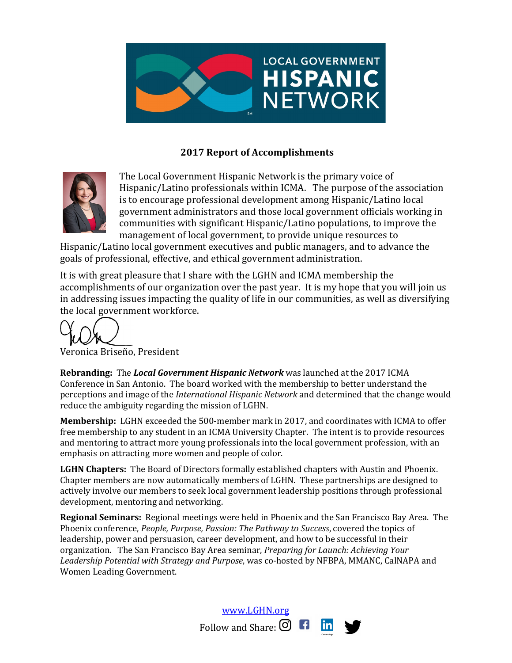

## **2017 Report of Accomplishments**



The Local Government Hispanic Network is the primary voice of Hispanic/Latino professionals within ICMA. The purpose of the association is to encourage professional development among Hispanic/Latino local government administrators and those local government officials working in communities with significant Hispanic/Latino populations, to improve the management of local government, to provide unique resources to

Hispanic/Latino local government executives and public managers, and to advance the goals of professional, effective, and ethical government administration.

It is with great pleasure that I share with the LGHN and ICMA membership the accomplishments of our organization over the past year. It is my hope that you will join us in addressing issues impacting the quality of life in our communities, as well as diversifying the local government workforce.

Veronica Briseño, President

**Rebranding:** The *Local Government Hispanic Network* was launched at the 2017 ICMA Conference in San Antonio. The board worked with the membership to better understand the perceptions and image of the *International Hispanic Network* and determined that the change would reduce the ambiguity regarding the mission of LGHN.

**Membership:** LGHN exceeded the 500-member mark in 2017, and coordinates with ICMA to offer free membership to any student in an ICMA University Chapter. The intent is to provide resources and mentoring to attract more young professionals into the local government profession, with an emphasis on attracting more women and people of color.

LGHN Chapters: The Board of Directors formally established chapters with Austin and Phoenix. Chapter members are now automatically members of LGHN. These partnerships are designed to actively involve our members to seek local government leadership positions through professional development, mentoring and networking.

**Regional Seminars:** Regional meetings were held in Phoenix and the San Francisco Bay Area. The Phoenix conference, *People, Purpose, Passion: The Pathway to Success*, covered the topics of leadership, power and persuasion, career development, and how to be successful in their organization. The San Francisco Bay Area seminar, *Preparing for Launch: Achieving Your* Leadership Potential with Strategy and Purpose, was co-hosted by NFBPA, MMANC, CalNAPA and Women Leading Government.